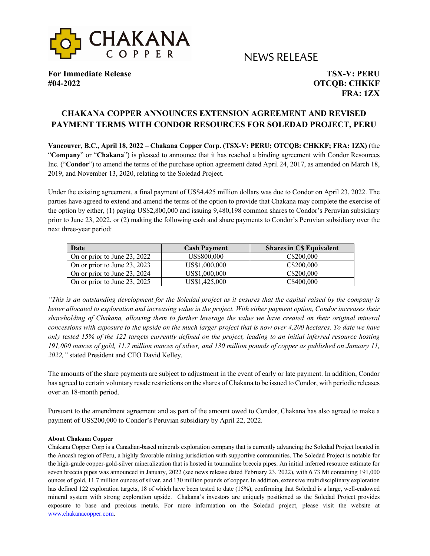

# NEWS RELEASE

**For Immediate Release TSX-V: PERU #04-2022 OTCQB: CHKKF**

**FRA: 1ZX**

## **CHAKANA COPPER ANNOUNCES EXTENSION AGREEMENT AND REVISED PAYMENT TERMS WITH CONDOR RESOURCES FOR SOLEDAD PROJECT, PERU**

**Vancouver, B.C., April 18, 2022 – Chakana Copper Corp. (TSX-V: PERU; OTCQB: CHKKF; FRA: 1ZX)** (the "**Company**" or "**Chakana**") is pleased to announce that it has reached a binding agreement with Condor Resources Inc. ("**Condor**") to amend the terms of the purchase option agreement dated April 24, 2017, as amended on March 18, 2019, and November 13, 2020, relating to the Soledad Project.

Under the existing agreement, a final payment of US\$4.425 million dollars was due to Condor on April 23, 2022. The parties have agreed to extend and amend the terms of the option to provide that Chakana may complete the exercise of the option by either, (1) paying US\$2,800,000 and issuing 9,480,198 common shares to Condor's Peruvian subsidiary prior to June 23, 2022, or (2) making the following cash and share payments to Condor's Peruvian subsidiary over the next three-year period:

| Date                         | <b>Cash Payment</b> | <b>Shares in CS Equivalent</b> |
|------------------------------|---------------------|--------------------------------|
| On or prior to June 23, 2022 | US\$800,000         | C\$200,000                     |
| On or prior to June 23, 2023 | US\$1,000,000       | C\$200,000                     |
| On or prior to June 23, 2024 | US\$1,000,000       | C\$200,000                     |
| On or prior to June 23, 2025 | US\$1,425,000       | C\$400,000                     |

*"This is an outstanding development for the Soledad project as it ensures that the capital raised by the company is better allocated to exploration and increasing value in the project. With either payment option, Condor increases their shareholding of Chakana, allowing them to further leverage the value we have created on their original mineral concessions with exposure to the upside on the much larger project that is now over 4,200 hectares. To date we have only tested 15% of the 122 targets currently defined on the project, leading to an initial inferred resource hosting 191,000 ounces of gold, 11.7 million ounces of silver, and 130 million pounds of copper as published on January 11, 2022,"* stated President and CEO David Kelley.

The amounts of the share payments are subject to adjustment in the event of early or late payment. In addition, Condor has agreed to certain voluntary resale restrictions on the shares of Chakana to be issued to Condor, with periodic releases over an 18-month period.

Pursuant to the amendment agreement and as part of the amount owed to Condor, Chakana has also agreed to make a payment of US\$200,000 to Condor's Peruvian subsidiary by April 22, 2022.

#### **About Chakana Copper**

Chakana Copper Corp is a Canadian-based minerals exploration company that is currently advancing the Soledad Project located in the Ancash region of Peru, a highly favorable mining jurisdiction with supportive communities. The Soledad Project is notable for the high-grade copper-gold-silver mineralization that is hosted in tourmaline breccia pipes. An initial inferred resource estimate for seven breccia pipes was announced in January, 2022 (see news release dated February 23, 2022), with 6.73 Mt containing 191,000 ounces of gold, 11.7 million ounces of silver, and 130 million pounds of copper. In addition, extensive multidisciplinary exploration has defined 122 exploration targets, 18 of which have been tested to date (15%), confirming that Soledad is a large, well-endowed mineral system with strong exploration upside. Chakana's investors are uniquely positioned as the Soledad Project provides exposure to base and precious metals. For more information on the Soledad project, please visit the website at www.chakanacopper.com.